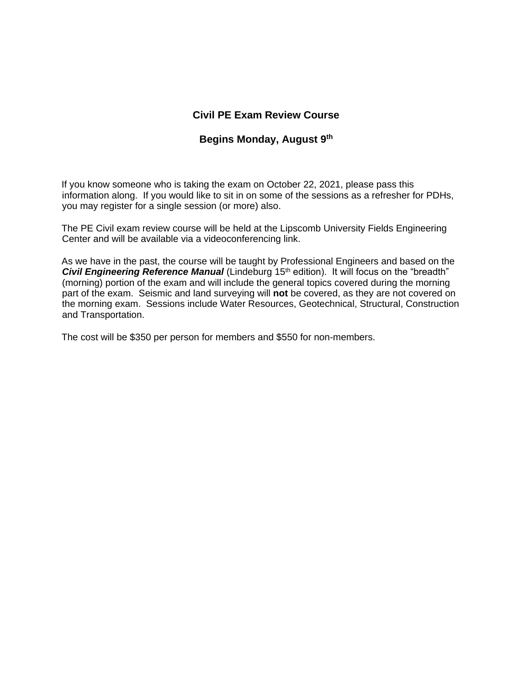## **Civil PE Exam Review Course**

### **Begins Monday, August 9 th**

If you know someone who is taking the exam on October 22, 2021, please pass this information along. If you would like to sit in on some of the sessions as a refresher for PDHs, you may register for a single session (or more) also.

The PE Civil exam review course will be held at the Lipscomb University Fields Engineering Center and will be available via a videoconferencing link.

As we have in the past, the course will be taught by Professional Engineers and based on the **Civil Engineering Reference Manual** (Lindeburg 15<sup>th</sup> edition). It will focus on the "breadth" (morning) portion of the exam and will include the general topics covered during the morning part of the exam. Seismic and land surveying will **not** be covered, as they are not covered on the morning exam. Sessions include Water Resources, Geotechnical, Structural, Construction and Transportation.

The cost will be \$350 per person for members and \$550 for non-members.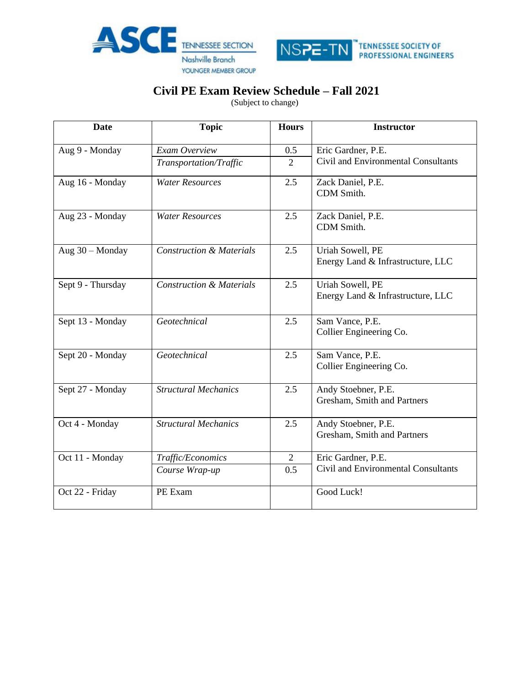



# **Civil PE Exam Review Schedule – Fall 2021**

(Subject to change)

| Date              | <b>Topic</b>                        | <b>Hours</b>   | <b>Instructor</b>                                     |  |  |
|-------------------|-------------------------------------|----------------|-------------------------------------------------------|--|--|
| Aug 9 - Monday    | Exam Overview                       | 0.5            | Eric Gardner, P.E.                                    |  |  |
|                   | Transportation/Traffic              | $\overline{2}$ | Civil and Environmental Consultants                   |  |  |
| Aug 16 - Monday   | <b>Water Resources</b>              | 2.5            | Zack Daniel, P.E.<br>CDM Smith.                       |  |  |
| Aug 23 - Monday   | <b>Water Resources</b>              | 2.5            | Zack Daniel, P.E.<br>CDM Smith.                       |  |  |
| Aug 30 - Monday   | <b>Construction &amp; Materials</b> | 2.5            | Uriah Sowell, PE<br>Energy Land & Infrastructure, LLC |  |  |
| Sept 9 - Thursday | <b>Construction &amp; Materials</b> | 2.5            | Uriah Sowell, PE<br>Energy Land & Infrastructure, LLC |  |  |
| Sept 13 - Monday  | Geotechnical                        | 2.5            | Sam Vance, P.E.<br>Collier Engineering Co.            |  |  |
| Sept 20 - Monday  | Geotechnical                        | 2.5            | Sam Vance, P.E.<br>Collier Engineering Co.            |  |  |
| Sept 27 - Monday  | <b>Structural Mechanics</b>         | 2.5            | Andy Stoebner, P.E.<br>Gresham, Smith and Partners    |  |  |
| Oct 4 - Monday    | <b>Structural Mechanics</b>         | 2.5            | Andy Stoebner, P.E.<br>Gresham, Smith and Partners    |  |  |
| Oct 11 - Monday   | Traffic/Economics                   | $\overline{2}$ | Eric Gardner, P.E.                                    |  |  |
|                   | Course Wrap-up                      | 0.5            | Civil and Environmental Consultants                   |  |  |
| Oct 22 - Friday   | PE Exam                             |                | Good Luck!                                            |  |  |